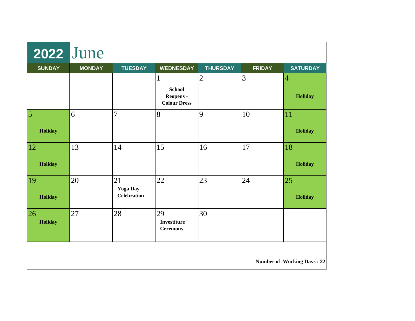| <b>2022 June</b>                  |               |                                             |                                                        |                 |               |                       |  |
|-----------------------------------|---------------|---------------------------------------------|--------------------------------------------------------|-----------------|---------------|-----------------------|--|
| <b>SUNDAY</b>                     | <b>MONDAY</b> | <b>TUESDAY</b>                              | <b>WEDNESDAY</b>                                       | <b>THURSDAY</b> | <b>FRIDAY</b> | <b>SATURDAY</b>       |  |
|                                   |               |                                             | 1<br><b>School</b><br>Reopens -<br><b>Colour Dress</b> | $\overline{2}$  | 3             | 4<br>Holiday          |  |
| $\overline{5}$<br>Holiday         | 6             | $\overline{7}$                              | 8                                                      | $\overline{9}$  | 10            | 11<br>Holiday         |  |
| <sup>12</sup><br>Holiday          | 13            | 14                                          | 15                                                     | 16              | 17            | 18<br>Holiday         |  |
| <b>19</b><br>Holiday              | 20            | 21<br><b>Yoga Day</b><br><b>Celebration</b> | 22                                                     | 23              | 24            | 25 <br><b>Holiday</b> |  |
| 26 <br><b>Holiday</b>             | 27            | 28                                          | 29<br><b>Investiture</b><br><b>Ceremony</b>            | 30              |               |                       |  |
| <b>Number of Working Days: 22</b> |               |                                             |                                                        |                 |               |                       |  |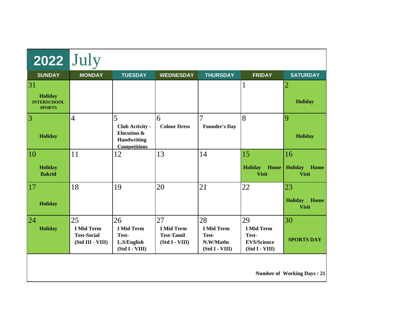| <b>2022</b> July                                                  |                                                                   |                                                                                         |                                                                |                                                                 |                                                                          |                                              |  |
|-------------------------------------------------------------------|-------------------------------------------------------------------|-----------------------------------------------------------------------------------------|----------------------------------------------------------------|-----------------------------------------------------------------|--------------------------------------------------------------------------|----------------------------------------------|--|
| <b>SUNDAY</b>                                                     | <b>MONDAY</b>                                                     | <b>TUESDAY</b>                                                                          | <b>WEDNESDAY</b>                                               | <b>THURSDAY</b>                                                 | <b>FRIDAY</b>                                                            | <b>SATURDAY</b>                              |  |
| $\overline{31}$<br>Holiday<br><b>INTERSCHOOL</b><br><b>SPORTS</b> |                                                                   |                                                                                         |                                                                |                                                                 | $\mathbf{1}$                                                             | 2<br>Holiday                                 |  |
| $\overline{\mathbf{3}}$<br>Holiday                                | $\overline{4}$                                                    | 5<br><b>Club Activity -</b><br>Elocution &<br><b>Handwriting</b><br><b>Competitions</b> | 6<br><b>Colour Dress</b>                                       | 7<br><b>Founder's Day</b>                                       | 8                                                                        | 9<br>Holiday                                 |  |
| $\overline{10}$<br><b>Holiday</b><br><b>Bakrid</b>                | 11                                                                | 12                                                                                      | 13                                                             | 14                                                              | 15<br><b>Holiday</b><br>Home<br><b>Visit</b>                             | 16<br>Holiday<br>Home<br><b>Visit</b>        |  |
| $\overline{17}$<br>Holiday                                        | 18                                                                | 19                                                                                      | 20                                                             | 21                                                              | 22                                                                       | 23<br><b>Holiday</b><br>Home<br><b>Visit</b> |  |
| $\overline{24}$<br><b>Holiday</b>                                 | 25<br><b>I Mid Term</b><br><b>Test-Social</b><br>(Std III - VIII) | 26<br><b>I Mid Term</b><br>Test-<br>L.S/English<br>(Std I - VIII)                       | 27<br><b>I Mid Term</b><br><b>Test-Tamil</b><br>(Std I - VIII) | 28<br><b>I Mid Term</b><br>Test-<br>N.W/Maths<br>(Std I - VIII) | 29<br><b>I Mid Term</b><br>Test-<br><b>EVS/Science</b><br>(Std I - VIII) | 30<br><b>SPORTS DAY</b>                      |  |
| <b>Number of Working Days: 21</b>                                 |                                                                   |                                                                                         |                                                                |                                                                 |                                                                          |                                              |  |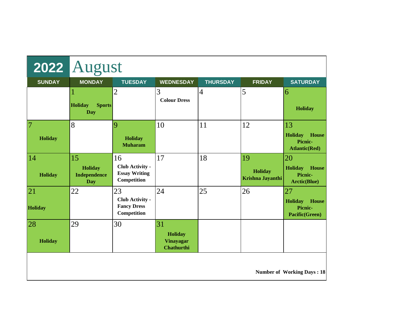|                                   | 2022 August                                               |                                                              |                                                               |                 |                                   |                                                                          |  |
|-----------------------------------|-----------------------------------------------------------|--------------------------------------------------------------|---------------------------------------------------------------|-----------------|-----------------------------------|--------------------------------------------------------------------------|--|
| <b>SUNDAY</b>                     | <b>MONDAY</b>                                             | <b>TUESDAY</b>                                               | <b>WEDNESDAY</b>                                              | <b>THURSDAY</b> | <b>FRIDAY</b>                     | <b>SATURDAY</b>                                                          |  |
|                                   | <b>Sports</b><br><b>Holiday</b><br><b>Day</b>             | $\overline{2}$                                               | 3<br><b>Colour Dress</b>                                      | $\overline{4}$  | 5                                 | $\vert 6$<br>Holiday                                                     |  |
| 7<br><b>Holiday</b>               | 8                                                         | $\vert 9$<br>Holiday<br><b>Muharam</b>                       | 10                                                            | 11              | 12                                | 13<br><b>Holiday</b><br>House<br>Picnic-<br><b>Atlantic(Red)</b>         |  |
| 14<br>Holiday                     | 15<br><b>Holiday</b><br><b>Independence</b><br><b>Day</b> | 16<br>Club Activity -<br><b>Essay Writing</b><br>Competition | 17                                                            | 18              | 19<br>Holiday<br>Krishna Jayanthi | 20<br><b>Holiday</b><br><b>House</b><br>Picnic-<br><b>Arctic(Blue)</b>   |  |
| 21<br><b>Holiday</b>              | 22                                                        | 23<br>Club Activity -<br><b>Fancy Dress</b><br>Competition   | 24                                                            | 25              | 26                                | 27<br><b>House</b><br><b>Holiday</b><br>Picnic-<br><b>Pacific(Green)</b> |  |
| $\overline{28}$<br>Holiday        | 29                                                        | 30                                                           | 31<br><b>Holiday</b><br><b>Vinayagar</b><br><b>Chathurthi</b> |                 |                                   |                                                                          |  |
| <b>Number of Working Days: 18</b> |                                                           |                                                              |                                                               |                 |                                   |                                                                          |  |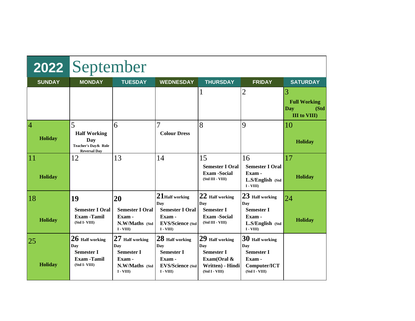|                            | 2022 September                                                                         |                                                                                       |                                                                                                 |                                                                                                  |                                                                                         |                                                                |  |  |
|----------------------------|----------------------------------------------------------------------------------------|---------------------------------------------------------------------------------------|-------------------------------------------------------------------------------------------------|--------------------------------------------------------------------------------------------------|-----------------------------------------------------------------------------------------|----------------------------------------------------------------|--|--|
| <b>SUNDAY</b>              | <b>MONDAY</b>                                                                          | <b>TUESDAY</b>                                                                        | <b>WEDNESDAY</b>                                                                                | <b>THURSDAY</b>                                                                                  | <b>FRIDAY</b>                                                                           | <b>SATURDAY</b>                                                |  |  |
|                            |                                                                                        |                                                                                       |                                                                                                 | 1                                                                                                | 2                                                                                       | 3<br><b>Full Working</b><br>Day<br>(Std<br><b>III</b> to VIII) |  |  |
| $\overline{4}$<br>Holiday  | 5<br><b>Half Working</b><br>Day<br>Teacher's Day & Role<br><b>Reversal Day</b>         | 6                                                                                     | <b>Colour Dress</b>                                                                             | 8                                                                                                | 9                                                                                       | 10<br>Holiday                                                  |  |  |
| $\overline{11}$<br>Holiday | 12                                                                                     | 13                                                                                    | 14                                                                                              | 15<br><b>Semester I Oral</b><br><b>Exam-Social</b><br>(Std III - VIII)                           | 16<br><b>Semester I Oral</b><br>Exam -<br>L.S/English (Std<br>$I - VIII$                | 17<br>Holiday                                                  |  |  |
| 18                         | 19                                                                                     | 20                                                                                    | $21$ Half working<br>Day                                                                        | 22 Half working<br>Day                                                                           | $23$ Half working<br>Day                                                                | 24                                                             |  |  |
| Holiday                    | <b>Semester I Oral</b><br><b>Exam - Tamil</b><br>(Std I-VIII)                          | <b>Semester I Oral</b><br>Exam -<br>N.W/Maths (Std<br>$I - VIII$                      | <b>Semester I Oral</b><br>Exam -<br><b>EVS/Science (Std)</b><br>$I - VIII$                      | <b>Semester I</b><br><b>Exam-Social</b><br>(Std III - VIII)                                      | <b>Semester I</b><br>Exam -<br>L.S/English (Std<br>$I - VIII$                           | Holiday                                                        |  |  |
| 25 <br>Holiday             | $26\,$ Half working<br>Dav<br><b>Semester I</b><br><b>Exam - Tamil</b><br>(Std I-VIII) | 27 Half working<br>Day<br><b>Semester I</b><br>Exam -<br>N.W/Maths (Std<br>$I - VIII$ | 28 Half working<br>Day<br><b>Semester I</b><br>Exam -<br><b>EVS/Science (Std)</b><br>$I - VIII$ | 29 Half working<br>Day<br><b>Semester I</b><br>Exam(Oral &<br>Written) - Hindi<br>(Std I - VIII) | 30 Half working<br>Day<br><b>Semester I</b><br>Exam -<br>Computer/ICT<br>(Std I - VIII) |                                                                |  |  |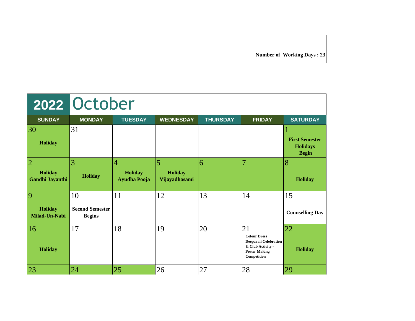**Number of Working Days : 23**

|                                              | 2022 October                                  |                                                         |                                      |                 |                                                                                                                       |                                                          |  |  |
|----------------------------------------------|-----------------------------------------------|---------------------------------------------------------|--------------------------------------|-----------------|-----------------------------------------------------------------------------------------------------------------------|----------------------------------------------------------|--|--|
| <b>SUNDAY</b>                                | <b>MONDAY</b>                                 | <b>TUESDAY</b>                                          | <b>WEDNESDAY</b>                     | <b>THURSDAY</b> | <b>FRIDAY</b>                                                                                                         | <b>SATURDAY</b>                                          |  |  |
| 30<br><b>Holiday</b>                         | 31                                            |                                                         |                                      |                 |                                                                                                                       | <b>First Semester</b><br><b>Holidays</b><br><b>Begin</b> |  |  |
| $\overline{2}$<br>Holiday<br>Gandhi Jayanthi | 3<br><b>Holiday</b>                           | $\overline{4}$<br><b>Holiday</b><br><b>Ayudha Pooja</b> | 5<br><b>Holiday</b><br>Vijayadhasami | 6               | 7                                                                                                                     | 8<br>Holiday                                             |  |  |
| $\vert 9$<br><b>Holiday</b><br>Milad-Un-Nabi | 10<br><b>Second Semester</b><br><b>Begins</b> | 11                                                      | 12                                   | 13              | 14                                                                                                                    | 15<br><b>Counselling Day</b>                             |  |  |
| 16<br>Holiday                                | 17                                            | 18                                                      | 19                                   | 20              | 21<br><b>Colour Dress</b><br><b>Deepavali Celebration</b><br>& Club Activity -<br><b>Poster Making</b><br>Competition | 22<br>Holiday                                            |  |  |
| 23                                           | 24                                            | 25                                                      | 26                                   | 27              | 28                                                                                                                    | 29                                                       |  |  |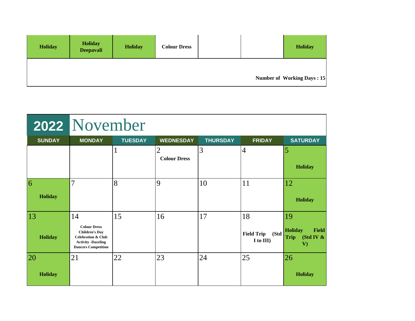| <b>Holiday</b> | Holiday<br><b>Deepavali</b> | <b>Holiday</b> | <b>Colour Dress</b> |  | <b>Holiday</b>                    |
|----------------|-----------------------------|----------------|---------------------|--|-----------------------------------|
|                |                             |                |                     |  | <b>Number of Working Days: 15</b> |

|                                   | 2022 November                                                                                                                                  |                |                                       |                 |                                              |                                                                                 |  |  |
|-----------------------------------|------------------------------------------------------------------------------------------------------------------------------------------------|----------------|---------------------------------------|-----------------|----------------------------------------------|---------------------------------------------------------------------------------|--|--|
| <b>SUNDAY</b>                     | <b>MONDAY</b>                                                                                                                                  | <b>TUESDAY</b> | <b>WEDNESDAY</b>                      | <b>THURSDAY</b> | <b>FRIDAY</b>                                | <b>SATURDAY</b>                                                                 |  |  |
|                                   |                                                                                                                                                |                | $\overline{2}$<br><b>Colour Dress</b> | 3               | $\overline{4}$                               | 5<br><b>Holiday</b>                                                             |  |  |
| $\vert 6 \vert$<br><b>Holiday</b> | 7                                                                                                                                              | 8              | $\overline{9}$                        | 10              | 11                                           | 12<br><b>Holiday</b>                                                            |  |  |
| 13<br><b>Holiday</b>              | 14<br><b>Colour Dress</b><br><b>Children's Day</b><br><b>Celebration &amp; Club</b><br><b>Activity -Dazzling</b><br><b>Dancers Competition</b> | 15             | 16                                    | 17              | 18<br>(Std<br><b>Field Trip</b><br>I to III) | 19<br><b>Holiday</b><br><b>Field</b><br>(Std IV $\&$<br><b>Trip</b><br>$\bf{V}$ |  |  |
| 20<br><b>Holiday</b>              | 21                                                                                                                                             | 22             | 23                                    | 24              | 25                                           | 26<br><b>Holiday</b>                                                            |  |  |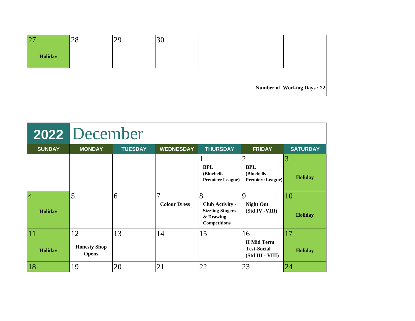| $ 2\rangle$ | 28 | 2 <sub>q</sub><br>∠. | 9U |  |                            |
|-------------|----|----------------------|----|--|----------------------------|
| Holiday     |    |                      |    |  |                            |
|             |    |                      |    |  |                            |
|             |    |                      |    |  |                            |
|             |    |                      |    |  |                            |
|             |    |                      |    |  | Number of Working Days: 22 |

|                           | 2022 December                             |                |                                       |                                                                                            |                                                                    |                      |  |  |
|---------------------------|-------------------------------------------|----------------|---------------------------------------|--------------------------------------------------------------------------------------------|--------------------------------------------------------------------|----------------------|--|--|
| <b>SUNDAY</b>             | <b>MONDAY</b>                             | <b>TUESDAY</b> | <b>WEDNESDAY</b>                      | <b>THURSDAY</b>                                                                            | <b>FRIDAY</b>                                                      | <b>SATURDAY</b>      |  |  |
|                           |                                           |                |                                       | <b>BPL</b><br>(Bluebells)<br><b>Premiere League)</b>                                       | 2<br><b>BPL</b><br>(Bluebells)<br><b>Premiere League)</b>          | 3<br><b>Holiday</b>  |  |  |
| $\overline{4}$<br>Holiday | 5                                         | 6              | $\overline{7}$<br><b>Colour Dress</b> | 8<br><b>Club Activity -</b><br><b>Sizzling Singers</b><br>& Drawing<br><b>Competitions</b> | $\mathbf Q$<br><b>Night Out</b><br>(Std IV -VIII)                  | 10<br><b>Holiday</b> |  |  |
| 11<br>Holiday             | 12<br><b>Honesty Shop</b><br><b>Opens</b> | 13             | 14                                    | 15                                                                                         | 16<br><b>II Mid Term</b><br><b>Test-Social</b><br>(Std III - VIII) | 17<br><b>Holiday</b> |  |  |
| 18                        | 19                                        | 20             | 21                                    | 22                                                                                         | 23                                                                 | 24                   |  |  |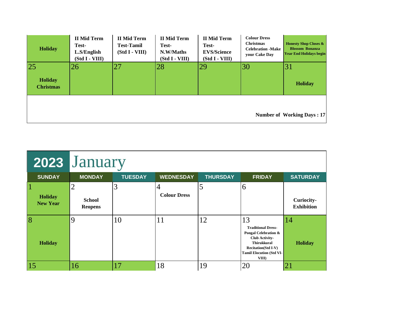| <b>Holiday</b>                     | <b>II Mid Term</b><br>Test-<br>L.S/English<br>(Std I - VIII) | <b>II Mid Term</b><br><b>Test-Tamil</b><br>(Std I - VIII) | <b>II Mid Term</b><br>Test-<br>N.W/Maths<br>(Std I - VIII) | <b>II Mid Term</b><br>Test-<br><b>EVS/Science</b><br>(Std I - VIII) | <b>Colour Dress</b><br><b>Christmas</b><br><b>Celebration -Make</b><br>your Cake Day | <b>Honesty Shop Closes &amp;</b><br><b>Blossom Bonanza</b><br><b>Year End Holidays begin</b> |
|------------------------------------|--------------------------------------------------------------|-----------------------------------------------------------|------------------------------------------------------------|---------------------------------------------------------------------|--------------------------------------------------------------------------------------|----------------------------------------------------------------------------------------------|
| 25                                 | 26                                                           | 27                                                        | 28                                                         | 29                                                                  | 30                                                                                   | 31                                                                                           |
| <b>Holiday</b><br><b>Christmas</b> |                                                              |                                                           |                                                            |                                                                     |                                                                                      | <b>Holiday</b>                                                                               |
|                                    |                                                              |                                                           |                                                            |                                                                     |                                                                                      | <b>Number of Working Days: 17</b>                                                            |

|                            | 2023 January                                      |                |                     |                 |                                                                                                                                                                                  |                                 |  |  |
|----------------------------|---------------------------------------------------|----------------|---------------------|-----------------|----------------------------------------------------------------------------------------------------------------------------------------------------------------------------------|---------------------------------|--|--|
| <b>SUNDAY</b>              | <b>MONDAY</b>                                     | <b>TUESDAY</b> | <b>WEDNESDAY</b>    | <b>THURSDAY</b> | <b>FRIDAY</b>                                                                                                                                                                    | <b>SATURDAY</b>                 |  |  |
| Holiday<br><b>New Year</b> | $\overline{2}$<br><b>School</b><br><b>Reopens</b> | 3              | <b>Colour Dress</b> | 5               | 6                                                                                                                                                                                | Curiocity-<br><b>Exhibition</b> |  |  |
| 8<br><b>Holiday</b>        | 9                                                 | 10             | 11                  | 12              | 13<br><b>Traditional Dress-</b><br>Pongal Celebration &<br><b>Club Activity-</b><br><b>Thirukkural</b><br><b>Recitation(Std I-V)</b><br><b>Tamil Elocution (Std VI-</b><br>VIII) | 14<br><b>Holiday</b>            |  |  |
| 15                         | 16                                                | 17             | 18                  | 19              | 20                                                                                                                                                                               | 21                              |  |  |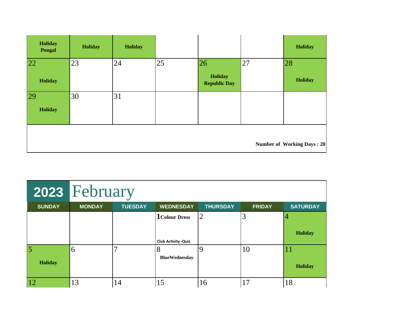| Holiday<br><b>Pongal</b> | <b>Holiday</b> | <b>Holiday</b> |    |                                      |    | Holiday                           |
|--------------------------|----------------|----------------|----|--------------------------------------|----|-----------------------------------|
| 22<br>Holiday            | 23             | 24             | 25 | 26<br>Holiday<br><b>Republic Day</b> | 27 | 28<br>Holiday                     |
| <b>29</b><br>Holiday     | 30             | 31             |    |                                      |    |                                   |
|                          |                |                |    |                                      |    | <b>Number of Working Days: 20</b> |

|                     | 2023 February |                |                                                      |                 |               |                 |
|---------------------|---------------|----------------|------------------------------------------------------|-----------------|---------------|-----------------|
| <b>SUNDAY</b>       | <b>MONDAY</b> | <b>TUESDAY</b> | <b>WEDNESDAY</b>                                     | <b>THURSDAY</b> | <b>FRIDAY</b> | <b>SATURDAY</b> |
|                     |               |                | <b>1</b> Colour Dress<br><b>Club Activity - Quiz</b> | $\overline{2}$  | $\mathcal{R}$ | <b>Holiday</b>  |
| 5<br><b>Holiday</b> | 6             |                | Ω<br><b>BlueWednesday</b>                            | 9               | 10            | <b>Holiday</b>  |
| 12                  | 13            | 14             | 15                                                   | 16              | 17            | 18              |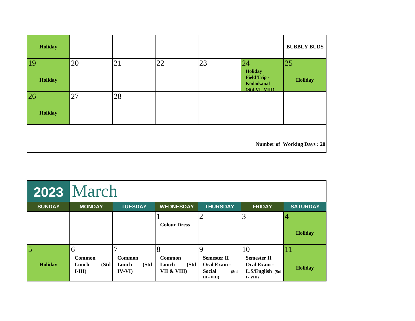| Holiday                  |    |    |    |    |                                                                      | <b>BUBBLY BUDS</b>                |
|--------------------------|----|----|----|----|----------------------------------------------------------------------|-----------------------------------|
| <sup>19</sup><br>Holiday | 20 | 21 | 22 | 23 | 24<br>Holiday<br><b>Field Trip -</b><br>Kodaikanal<br>(Std VI -VIII) | 25<br>Holiday                     |
| 26<br>Holiday            | 27 | 28 |    |    |                                                                      |                                   |
|                          |    |    |    |    |                                                                      | <b>Number of Working Days: 20</b> |

|                                  | <b>2023 March</b>                              |                                            |                                                    |                                                                            |                                                                           |                      |
|----------------------------------|------------------------------------------------|--------------------------------------------|----------------------------------------------------|----------------------------------------------------------------------------|---------------------------------------------------------------------------|----------------------|
| <b>SUNDAY</b>                    | <b>MONDAY</b>                                  | <b>TUESDAY</b>                             | <b>WEDNESDAY</b>                                   | <b>THURSDAY</b>                                                            | <b>FRIDAY</b>                                                             | <b>SATURDAY</b>      |
|                                  |                                                |                                            | <b>Colour Dress</b>                                |                                                                            | 3                                                                         | <b>Holiday</b>       |
| $\overline{5}$<br><b>Holiday</b> | 6<br><b>Common</b><br>(Std<br>Lunch<br>$I-III$ | <b>Common</b><br>(Std<br>Lunch<br>$IV-VI)$ | 8<br><b>Common</b><br>(Std<br>Lunch<br>VII & VIII) | <b>Semester II</b><br>Oral Exam -<br><b>Social</b><br>(Std<br>$III - VIII$ | 10<br><b>Semester II</b><br>Oral Exam -<br>L.S/English (Std<br>$I - VIII$ | 11<br><b>Holiday</b> |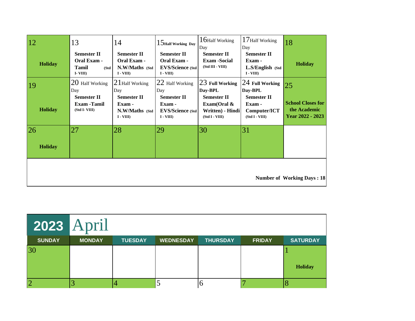| 12                   | 13                                                                   | 14                                                                | $15$ Half Working Day                                                       | 16Half Working<br>Day                                                      | 17Half Working<br>Day                                          | 18                                                           |
|----------------------|----------------------------------------------------------------------|-------------------------------------------------------------------|-----------------------------------------------------------------------------|----------------------------------------------------------------------------|----------------------------------------------------------------|--------------------------------------------------------------|
| <b>Holiday</b>       | <b>Semester II</b><br>Oral Exam -<br><b>Tamil</b><br>(Std<br>I-VIII) | <b>Semester II</b><br>Oral Exam -<br>N.W/Maths (Std<br>$I - VIII$ | <b>Semester II</b><br>Oral Exam -<br><b>EVS/Science (Std)</b><br>$I - VIII$ | <b>Semester II</b><br><b>Exam -Social</b><br>(Std III - VIII)              | <b>Semester II</b><br>Exam -<br>L.S/English (Std<br>$I - VIII$ | <b>Holiday</b>                                               |
| 19                   | 20 Half Working<br>Day                                               | $21$ Half Working<br>Day                                          | 22 Half Working<br>Day                                                      | 23 Full Working<br>Day-BPL                                                 | 24 Full Working<br>Day-BPL                                     | 25                                                           |
| <b>Holiday</b>       | <b>Semester II</b><br><b>Exam-Tamil</b><br>(Std I-VIII)              | <b>Semester II</b><br>Exam -<br>N.W/Maths (Std)<br>$I - VIII$     | <b>Semester II</b><br>Exam -<br><b>EVS/Science (Std)</b><br>$I - VIII$      | <b>Semester II</b><br>Exam(Oral $\&$<br>Written) - Hindi<br>(Std I - VIII) | <b>Semester II</b><br>Exam -<br>Computer/ICT<br>(Std I - VIII) | <b>School Closes for</b><br>the Academic<br>Year 2022 - 2023 |
| 26<br><b>Holiday</b> | 27                                                                   | 28                                                                | 29                                                                          | 30                                                                         | 31                                                             |                                                              |
|                      |                                                                      |                                                                   |                                                                             |                                                                            |                                                                | <b>Number of Working Days: 18</b>                            |

| <b>2023 April</b> |               |                |                  |                 |               |                 |
|-------------------|---------------|----------------|------------------|-----------------|---------------|-----------------|
| <b>SUNDAY</b>     | <b>MONDAY</b> | <b>TUESDAY</b> | <b>WEDNESDAY</b> | <b>THURSDAY</b> | <b>FRIDAY</b> | <b>SATURDAY</b> |
| 30                |               |                |                  |                 |               |                 |
|                   |               |                |                  |                 |               | <b>Holiday</b>  |
| 2                 |               |                |                  | U               |               |                 |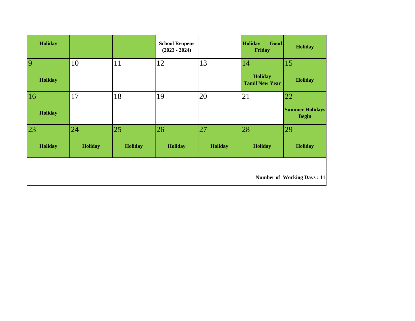| Holiday         |                |                | <b>School Reopens</b><br>$(2023 - 2024)$ |                | <b>Holiday</b><br>Good<br>Friday        | <b>Holiday</b>                         |
|-----------------|----------------|----------------|------------------------------------------|----------------|-----------------------------------------|----------------------------------------|
| $\vert 9 \vert$ | 10             | 11             | 12                                       | 13             | 14                                      | 15                                     |
| <b>Holiday</b>  |                |                |                                          |                | <b>Holiday</b><br><b>Tamil New Year</b> | <b>Holiday</b>                         |
| 16              | 17             | 18             | 19                                       | 20             | 21                                      | 22                                     |
| <b>Holiday</b>  |                |                |                                          |                |                                         | <b>Summer Holidays</b><br><b>Begin</b> |
| 23              | 24             | 25             | 26                                       | 27             | 28                                      | 29                                     |
| Holiday         | <b>Holiday</b> | <b>Holiday</b> | <b>Holiday</b>                           | <b>Holiday</b> | <b>Holiday</b>                          | <b>Holiday</b>                         |
|                 |                |                |                                          |                |                                         | <b>Number of Working Days: 11</b>      |
|                 |                |                |                                          |                |                                         |                                        |